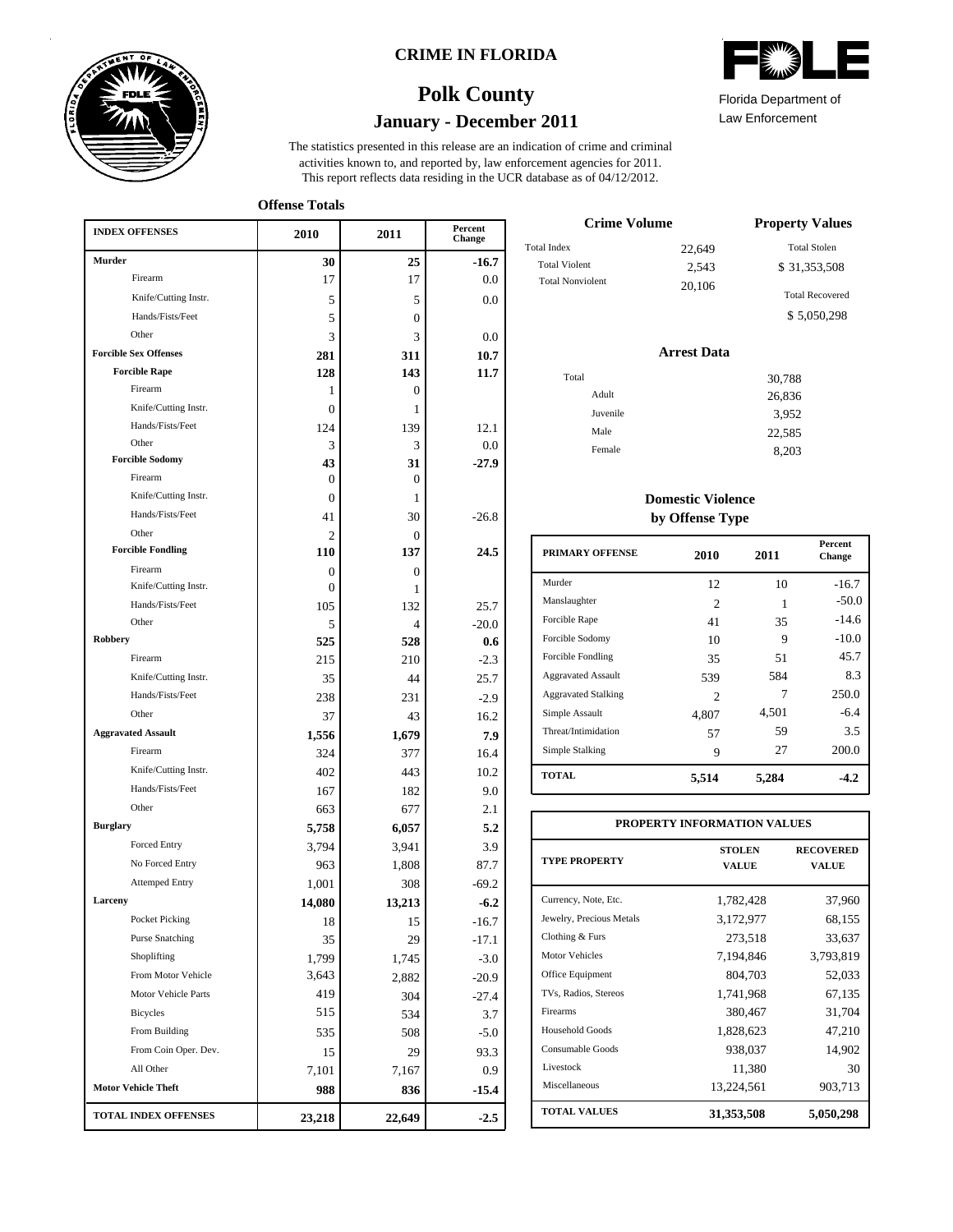

### **CRIME IN FLORIDA**

## **January - December 2011 Polk County**

This report reflects data residing in the UCR database as of 04/12/2012. activities known to, and reported by, law enforcement agencies for 2011. The statistics presented in this release are an indication of crime and criminal

**Offense Totals**

| <b>INDEX OFFENSES</b>        | 2010           | 2011         | Percent<br>Change |
|------------------------------|----------------|--------------|-------------------|
| <b>Murder</b>                | 30             | 25           | $-16.7$           |
| Firearm                      | 17             | 17           | 0.0               |
| Knife/Cutting Instr.         | 5              | 5            | 0.0               |
| Hands/Fists/Feet             | 5              | $\Omega$     |                   |
| Other                        | 3              | 3            | 0.0               |
| <b>Forcible Sex Offenses</b> | 281            | 311          | 10.7              |
| <b>Forcible Rape</b>         | 128            | 143          | 11.7              |
| Firearm                      | 1              | $\mathbf{0}$ |                   |
| Knife/Cutting Instr.         | $\overline{0}$ | 1            |                   |
| Hands/Fists/Feet             | 124            | 139          | 12.1              |
| Other                        | 3              | 3            | 0.0               |
| <b>Forcible Sodomy</b>       | 43             | 31           | $-27.9$           |
| Firearm                      | 0              | $\mathbf{0}$ |                   |
| Knife/Cutting Instr.         | $\theta$       | 1            |                   |
| Hands/Fists/Feet             | 41             | 30           | $-26.8$           |
| Other                        | $\overline{c}$ | $\Omega$     |                   |
| <b>Forcible Fondling</b>     | 110            | 137          | 24.5              |
| Firearm                      | 0              | $\mathbf{0}$ |                   |
| Knife/Cutting Instr.         | 0              | 1            |                   |
| Hands/Fists/Feet             | 105            | 132          | 25.7              |
| Other                        | 5              | 4            | $-20.0$           |
| Robbery                      | 525            | 528          | 0.6               |
| Firearm                      | 215            | 210          | $-2.3$            |
| Knife/Cutting Instr.         | 35             | 44           | 25.7              |
| Hands/Fists/Feet             | 238            | 231          | $-2.9$            |
| Other                        | 37             | 43           | 16.2              |
| <b>Aggravated Assault</b>    | 1,556          | 1,679        | 7.9               |
| Firearm                      | 324            | 377          | 16.4              |
| Knife/Cutting Instr.         | 402            | 443          | 10.2              |
| Hands/Fists/Feet             | 167            | 182          | 9.0               |
| Other                        | 663            | 677          | 2.1               |
| <b>Burglary</b>              | 5,758          | 6,057        | 5.2               |
| Forced Entry                 | 3,794          | 3,941        | 3.9               |
| No Forced Entry              | 963            | 1,808        | 87.7              |
| <b>Attemped Entry</b>        | 1,001          | 308          | $-69.2$           |
| Larceny                      | 14,080         | 13,213       | $-6.2$            |
| Pocket Picking               | 18             | 15           | $-16.7$           |
| <b>Purse Snatching</b>       | 35             | 29           | -17.1             |
| Shoplifting                  | 1,799          | 1,745        | $-3.0$            |
| From Motor Vehicle           | 3,643          | 2,882        | $-20.9$           |
| Motor Vehicle Parts          | 419            | 304          | $-27.4$           |
| <b>Bicycles</b>              | 515            | 534          | 3.7               |
| From Building                | 535            | 508          | $-5.0$            |
| From Coin Oper. Dev.         | 15             | 29           | 93.3              |
| All Other                    | 7,101          | 7,167        | 0.9               |
| <b>Motor Vehicle Theft</b>   | 988            | 836          | $-15.4$           |
| <b>TOTAL INDEX OFFENSES</b>  | 23,218         | 22,649       | $-2.5$            |

| Florida Department of |
|-----------------------|

Law Enforcement

| <b>Crime Volume</b>     | <b>Property Values</b> |                        |  |
|-------------------------|------------------------|------------------------|--|
| <b>Total Index</b>      | 22.649                 | <b>Total Stolen</b>    |  |
| <b>Total Violent</b>    | 2.543                  | \$31,353,508           |  |
| <b>Total Nonviolent</b> | 20,106                 | <b>Total Recovered</b> |  |
|                         |                        | \$5,050,298            |  |

### **Arrest Data**

| Total    | 30,788 |
|----------|--------|
| Adult    | 26,836 |
| Juvenile | 3,952  |
| Male     | 22,585 |
| Female   | 8,203  |
|          |        |

### **Domestic Violence by Offense Type**

| <b>PRIMARY OFFENSE</b>     | 2010           | 2011  | <b>Percent</b><br>Change |
|----------------------------|----------------|-------|--------------------------|
| Murder                     | 12             | 10    | $-16.7$                  |
| Manslaughter               | 2              | 1     | $-50.0$                  |
| Forcible Rape              | 41             | 35    | $-14.6$                  |
| Forcible Sodomy            | 10             | 9     | $-10.0$                  |
| Forcible Fondling          | 35             | 51    | 45.7                     |
| <b>Aggravated Assault</b>  | 539            | 584   | 8.3                      |
| <b>Aggravated Stalking</b> | $\mathfrak{D}$ | 7     | 250.0                    |
| Simple Assault             | 4.807          | 4,501 | $-6.4$                   |
| Threat/Intimidation        | 57             | 59    | 3.5                      |
| Simple Stalking            | 9              | 27    | 200.0                    |
| <b>TOTAL</b>               | 5,514          | 5,284 | $-4.2$                   |

| PROPERTY INFORMATION VALUES |                               |                                  |  |  |  |  |  |
|-----------------------------|-------------------------------|----------------------------------|--|--|--|--|--|
| <b>TYPE PROPERTY</b>        | <b>STOLEN</b><br><b>VALUE</b> | <b>RECOVERED</b><br><b>VALUE</b> |  |  |  |  |  |
| Currency, Note, Etc.        | 1,782,428                     | 37,960                           |  |  |  |  |  |
| Jewelry, Precious Metals    | 3,172,977                     | 68,155                           |  |  |  |  |  |
| Clothing & Furs             | 273,518                       | 33,637                           |  |  |  |  |  |
| <b>Motor Vehicles</b>       | 7,194,846                     | 3,793,819                        |  |  |  |  |  |
| Office Equipment            | 804.703                       | 52,033                           |  |  |  |  |  |
| TVs, Radios, Stereos        | 1,741,968                     | 67,135                           |  |  |  |  |  |
| Firearms                    | 380,467                       | 31,704                           |  |  |  |  |  |
| Household Goods             | 1,828,623                     | 47,210                           |  |  |  |  |  |
| Consumable Goods            | 938,037                       | 14,902                           |  |  |  |  |  |
| Livestock                   | 11,380                        | 30                               |  |  |  |  |  |
| Miscellaneous               | 13,224,561                    | 903,713                          |  |  |  |  |  |
| <b>TOTAL VALUES</b>         | 31,353,508                    | 5,050,298                        |  |  |  |  |  |